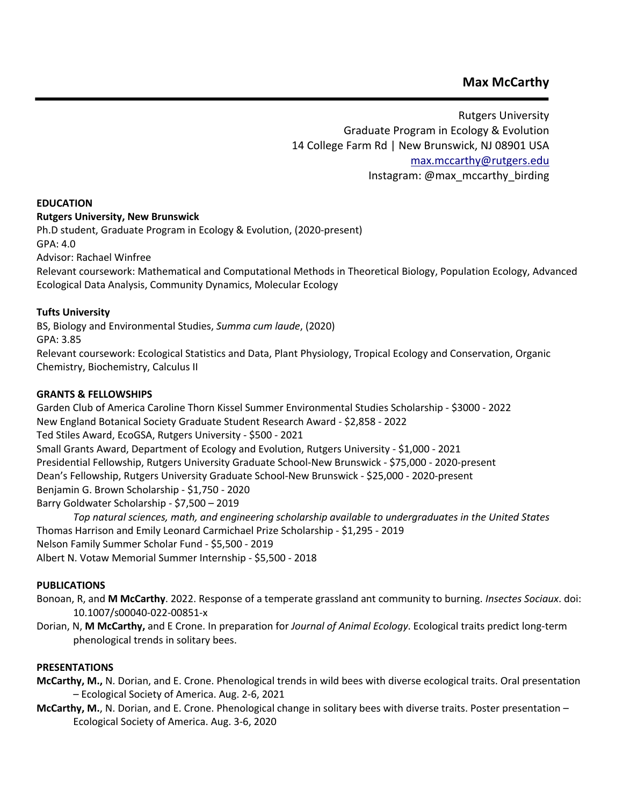# **Max McCarthy**

Rutgers University Graduate Program in Ecology & Evolution 14 College Farm Rd | New Brunswick, NJ 08901 USA max.mccarthy@rutgers.edu Instagram: @max\_mccarthy\_birding

#### **EDUCATION**

#### **Rutgers University, New Brunswick**

Ph.D student, Graduate Program in Ecology & Evolution, (2020-present) GPA: 4.0 Advisor: Rachael Winfree

Relevant coursework: Mathematical and Computational Methods in Theoretical Biology, Population Ecology, Advanced Ecological Data Analysis, Community Dynamics, Molecular Ecology

# **Tufts University**

BS, Biology and Environmental Studies, *Summa cum laude*, (2020)

GPA: 3.85

Relevant coursework: Ecological Statistics and Data, Plant Physiology, Tropical Ecology and Conservation, Organic Chemistry, Biochemistry, Calculus II

# **GRANTS & FELLOWSHIPS**

Garden Club of America Caroline Thorn Kissel Summer Environmental Studies Scholarship - \$3000 - 2022 New England Botanical Society Graduate Student Research Award - \$2,858 - 2022 Ted Stiles Award, EcoGSA, Rutgers University - \$500 - 2021 Small Grants Award, Department of Ecology and Evolution, Rutgers University - \$1,000 - 2021 Presidential Fellowship, Rutgers University Graduate School-New Brunswick - \$75,000 - 2020-present Dean's Fellowship, Rutgers University Graduate School-New Brunswick - \$25,000 - 2020-present Benjamin G. Brown Scholarship - \$1,750 - 2020 Barry Goldwater Scholarship - \$7,500 – 2019 *Top natural sciences, math, and engineering scholarship available to undergraduates in the United States*

Thomas Harrison and Emily Leonard Carmichael Prize Scholarship - \$1,295 - 2019 Nelson Family Summer Scholar Fund - \$5,500 - 2019 Albert N. Votaw Memorial Summer Internship - \$5,500 - 2018

#### **PUBLICATIONS**

Bonoan, R, and **M McCarthy**. 2022. Response of a temperate grassland ant community to burning. *Insectes Sociaux*. doi: 10.1007/s00040-022-00851-x

Dorian, N, **M McCarthy,** and E Crone. In preparation for *Journal of Animal Ecology*. Ecological traits predict long-term phenological trends in solitary bees.

#### **PRESENTATIONS**

- **McCarthy, M.,** N. Dorian, and E. Crone. Phenological trends in wild bees with diverse ecological traits. Oral presentation – Ecological Society of America. Aug. 2-6, 2021
- **McCarthy, M.**, N. Dorian, and E. Crone. Phenological change in solitary bees with diverse traits. Poster presentation Ecological Society of America. Aug. 3-6, 2020